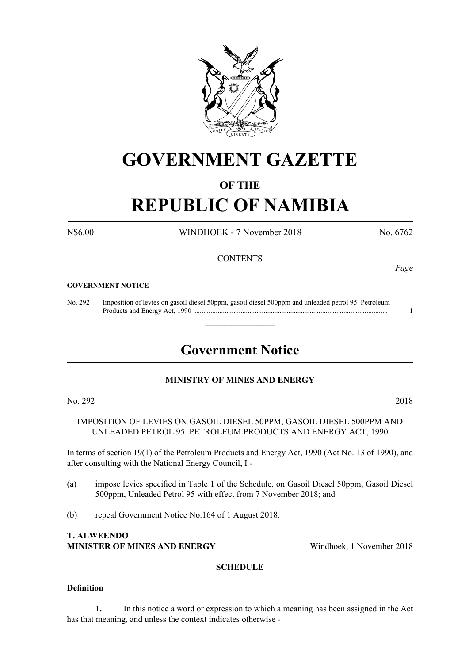

# **GOVERNMENT GAZETTE**

# **OF THE**

# **REPUBLIC OF NAMIBIA**

N\$6.00 WINDHOEK - 7 November 2018 No. 6762

*Page*

# **CONTENTS**

#### **GOVERNMENT NOTICE**

No. 292 Imposition of levies on gasoil diesel 50ppm, gasoil diesel 500ppm and unleaded petrol 95: Petroleum Products and Energy Act, 1990 ............................................................................................................. 1

# **Government Notice**

 $\overline{\phantom{a}}$  , where  $\overline{\phantom{a}}$ 

# **MINISTRY OF MINES AND ENERGY**

No. 292 2018

IMPOSITION OF LEVIES ON GASOIL DIESEL 50PPM, GASOIL DIESEL 500PPM AND UNLEADED PETROL 95: PETROLEUM PRODUCTS AND ENERGY ACT, 1990

In terms of section 19(1) of the Petroleum Products and Energy Act, 1990 (Act No. 13 of 1990), and after consulting with the National Energy Council, I -

- (a) impose levies specified in Table 1 of the Schedule, on Gasoil Diesel 50ppm, Gasoil Diesel 500ppm, Unleaded Petrol 95 with effect from 7 November 2018; and
- (b) repeal Government Notice No.164 of 1 August 2018.

### **T. ALWEENDO MINISTER OF MINES AND ENERGY** Windhoek, 1 November 2018

#### **SCHEDULE**

#### **Definition**

**1.** In this notice a word or expression to which a meaning has been assigned in the Act has that meaning, and unless the context indicates otherwise -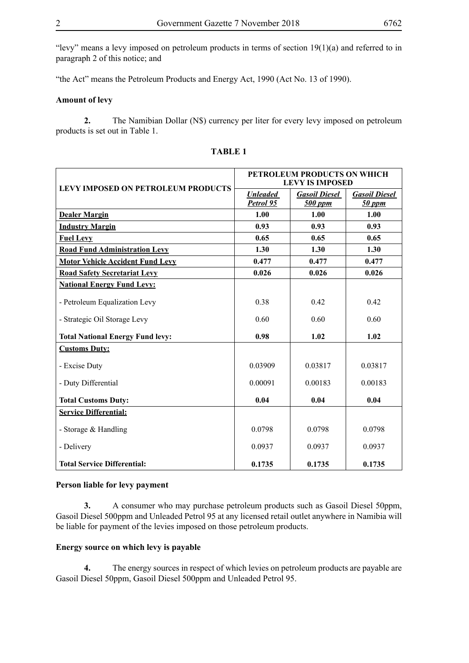"levy" means a levy imposed on petroleum products in terms of section  $19(1)(a)$  and referred to in paragraph 2 of this notice; and

"the Act" means the Petroleum Products and Energy Act, 1990 (Act No. 13 of 1990).

#### **Amount of levy**

**2.** The Namibian Dollar (N\$) currency per liter for every levy imposed on petroleum products is set out in Table 1.

| <b>LEVY IMPOSED ON PETROLEUM PRODUCTS</b> | PETROLEUM PRODUCTS ON WHICH<br><b>LEVY IS IMPOSED</b> |                                 |                                  |
|-------------------------------------------|-------------------------------------------------------|---------------------------------|----------------------------------|
|                                           | <b>Unleaded</b><br>Petrol 95                          | <b>Gasoil Diesel</b><br>500 ppm | <b>Gasoil Diesel</b><br>$50$ ppm |
| <b>Dealer Margin</b>                      | 1.00                                                  | 1.00                            | 1.00                             |
| <b>Industry Margin</b>                    | 0.93                                                  | 0.93                            | 0.93                             |
| <b>Fuel Levy</b>                          | 0.65                                                  | 0.65                            | 0.65                             |
| <b>Road Fund Administration Levy</b>      | 1.30                                                  | 1.30                            | 1.30                             |
| <b>Motor Vehicle Accident Fund Levy</b>   | 0.477                                                 | 0.477                           | 0.477                            |
| <b>Road Safety Secretariat Levy</b>       | 0.026                                                 | 0.026                           | 0.026                            |
| <b>National Energy Fund Levy:</b>         |                                                       |                                 |                                  |
| - Petroleum Equalization Levy             | 0.38                                                  | 0.42                            | 0.42                             |
| - Strategic Oil Storage Levy              | 0.60                                                  | 0.60                            | 0.60                             |
| <b>Total National Energy Fund levy:</b>   | 0.98                                                  | 1.02                            | 1.02                             |
| <b>Customs Duty:</b>                      |                                                       |                                 |                                  |
| - Excise Duty                             | 0.03909                                               | 0.03817                         | 0.03817                          |
| - Duty Differential                       | 0.00091                                               | 0.00183                         | 0.00183                          |
| <b>Total Customs Duty:</b>                | 0.04                                                  | 0.04                            | 0.04                             |
| <b>Service Differential:</b>              |                                                       |                                 |                                  |
| - Storage & Handling                      | 0.0798                                                | 0.0798                          | 0.0798                           |
| - Delivery                                | 0.0937                                                | 0.0937                          | 0.0937                           |
| <b>Total Service Differential:</b>        | 0.1735                                                | 0.1735                          | 0.1735                           |

### **TABLE 1**

#### **Person liable for levy payment**

**3.** A consumer who may purchase petroleum products such as Gasoil Diesel 50ppm, Gasoil Diesel 500ppm and Unleaded Petrol 95 at any licensed retail outlet anywhere in Namibia will be liable for payment of the levies imposed on those petroleum products.

#### **Energy source on which levy is payable**

**4.** The energy sources in respect of which levies on petroleum products are payable are Gasoil Diesel 50ppm, Gasoil Diesel 500ppm and Unleaded Petrol 95.